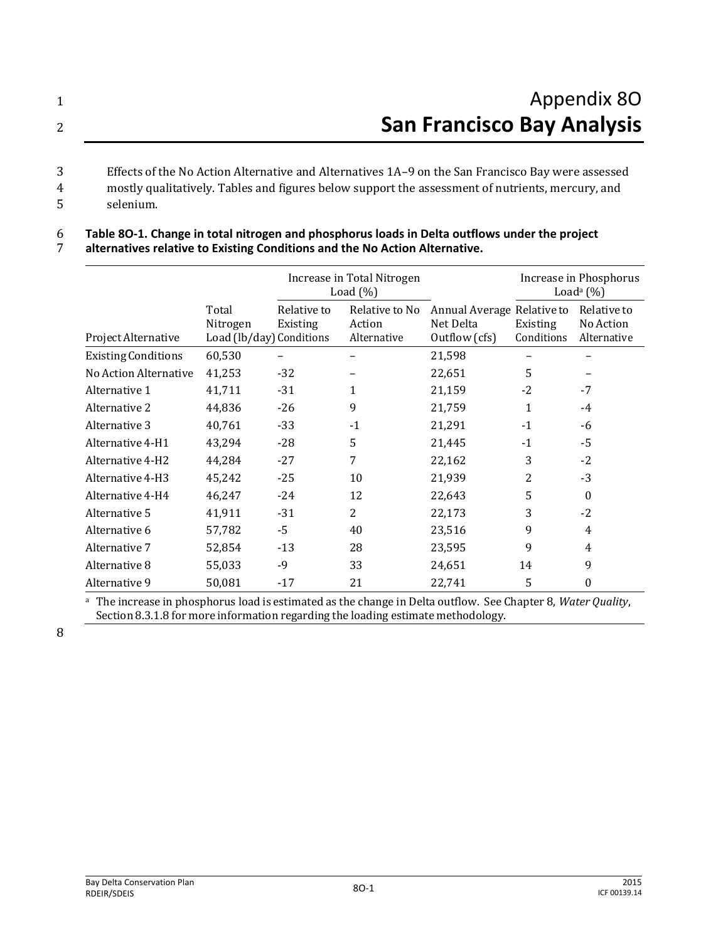| Appendix 80                                                                                       |
|---------------------------------------------------------------------------------------------------|
| <b>San Francisco Bay Analysis</b>                                                                 |
| Effects of the No Action Alternative and Alternatives 1A-9 on the San Francisco Bay were assessed |

3 Effects of the No Action Alternative and Alternatives 1A–9 on the San Francisco Bay were assessed

- 4 mostly qualitatively. Tables and figures below support the assessment of nutrients, mercury, and 5 selenium.
- 

## 6 **Table 8O-1. Change in total nitrogen and phosphorus loads in Delta outflows under the project**

7 **alternatives relative to Existing Conditions and the No Action Alternative.**

|                            |                                               | Increase in Total Nitrogen<br>Load $(\% )$ |                                         |                                                          | Increase in Phosphorus<br>Load <sup>a</sup> $(\%)$ |                                         |
|----------------------------|-----------------------------------------------|--------------------------------------------|-----------------------------------------|----------------------------------------------------------|----------------------------------------------------|-----------------------------------------|
| Project Alternative        | Total<br>Nitrogen<br>Load (lb/day) Conditions | Relative to<br>Existing                    | Relative to No<br>Action<br>Alternative | Annual Average Relative to<br>Net Delta<br>Outflow (cfs) | Existing<br>Conditions                             | Relative to<br>No Action<br>Alternative |
| <b>Existing Conditions</b> | 60,530                                        |                                            |                                         | 21,598                                                   |                                                    |                                         |
| No Action Alternative      | 41,253                                        | $-32$                                      |                                         | 22,651                                                   | 5                                                  |                                         |
| Alternative 1              | 41,711                                        | -31                                        | 1                                       | 21,159                                                   | $-2$                                               | $-7$                                    |
| Alternative 2              | 44,836                                        | $-26$                                      | 9                                       | 21,759                                                   | 1                                                  | $-4$                                    |
| Alternative 3              | 40,761                                        | $-33$                                      | $-1$                                    | 21,291                                                   | $-1$                                               | -6                                      |
| Alternative 4-H1           | 43,294                                        | $-28$                                      | 5                                       | 21,445                                                   | $-1$                                               | -5                                      |
| Alternative 4-H2           | 44,284                                        | $-27$                                      | 7                                       | 22,162                                                   | 3                                                  | $-2$                                    |
| Alternative 4-H3           | 45,242                                        | $-25$                                      | 10                                      | 21,939                                                   | 2                                                  | $-3$                                    |
| Alternative 4-H4           | 46,247                                        | $-24$                                      | 12                                      | 22,643                                                   | 5                                                  | $\Omega$                                |
| Alternative 5              | 41,911                                        | $-31$                                      | 2                                       | 22,173                                                   | 3                                                  | $-2$                                    |
| Alternative 6              | 57,782                                        | -5                                         | 40                                      | 23,516                                                   | 9                                                  | 4                                       |
| Alternative 7              | 52,854                                        | $-13$                                      | 28                                      | 23,595                                                   | 9                                                  | 4                                       |
| Alternative 8              | 55,033                                        | $-9$                                       | 33                                      | 24,651                                                   | 14                                                 | 9                                       |
| Alternative 9              | 50,081                                        | $-17$                                      | 21                                      | 22,741                                                   | 5                                                  | 0                                       |

<sup>a</sup>The increase in phosphorus load is estimated as the change in Delta outflow. See Chapter 8, *Water Quality*, Section 8.3.1.8 for more information regarding the loading estimate methodology.

8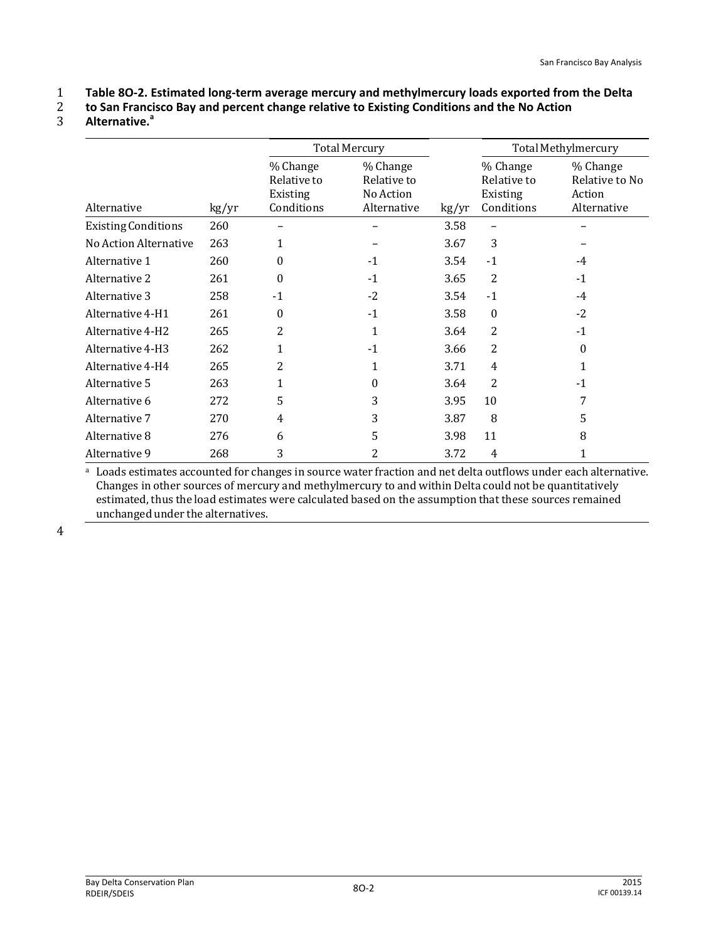1 **Table 8O-2. Estimated long-term average mercury and methylmercury loads exported from the Delta** 

- 2 **to San Francisco Bay and percent change relative to Existing Conditions and the No Action**
- **Alternative.<sup>a</sup>** 3

|                            |       | <b>Total Mercury</b>                              |                                                     |       |                                                   | Total Methylmercury                                 |
|----------------------------|-------|---------------------------------------------------|-----------------------------------------------------|-------|---------------------------------------------------|-----------------------------------------------------|
| Alternative                | kg/yr | % Change<br>Relative to<br>Existing<br>Conditions | % Change<br>Relative to<br>No Action<br>Alternative | kg/yr | % Change<br>Relative to<br>Existing<br>Conditions | % Change<br>Relative to No<br>Action<br>Alternative |
| <b>Existing Conditions</b> | 260   |                                                   |                                                     | 3.58  |                                                   |                                                     |
| No Action Alternative      | 263   | 1                                                 |                                                     | 3.67  | 3                                                 |                                                     |
| Alternative 1              | 260   | $\theta$                                          | $-1$                                                | 3.54  | $-1$                                              | -4                                                  |
| Alternative 2              | 261   | $\theta$                                          | $-1$                                                | 3.65  | 2                                                 | $-1$                                                |
| Alternative 3              | 258   | $-1$                                              | $-2$                                                | 3.54  | $-1$                                              | $-4$                                                |
| Alternative 4-H1           | 261   | $\theta$                                          | $-1$                                                | 3.58  | $\boldsymbol{0}$                                  | $-2$                                                |
| Alternative 4-H2           | 265   | 2                                                 | $\mathbf{1}$                                        | 3.64  | 2                                                 | $-1$                                                |
| Alternative 4-H3           | 262   | 1                                                 | $-1$                                                | 3.66  | $\overline{2}$                                    | 0                                                   |
| Alternative 4-H4           | 265   | $\overline{2}$                                    | $\mathbf{1}$                                        | 3.71  | $\overline{4}$                                    | $\mathbf{1}$                                        |
| Alternative 5              | 263   | 1                                                 | $\theta$                                            | 3.64  | 2                                                 | $-1$                                                |
| Alternative 6              | 272   | 5                                                 | 3                                                   | 3.95  | 10                                                | 7                                                   |
| Alternative 7              | 270   | 4                                                 | 3                                                   | 3.87  | 8                                                 | 5                                                   |
| Alternative 8              | 276   | 6                                                 | 5                                                   | 3.98  | 11                                                | 8                                                   |
| Alternative 9              | 268   | 3                                                 | 2                                                   | 3.72  | 4                                                 | 1                                                   |

<sup>a</sup> Loads estimates accounted for changes in source water fraction and net delta outflows under each alternative. Changes in other sources of mercury and methylmercury to and within Delta could not be quantitatively estimated, thus the load estimates were calculated based on the assumption that these sources remained unchanged under the alternatives.

4